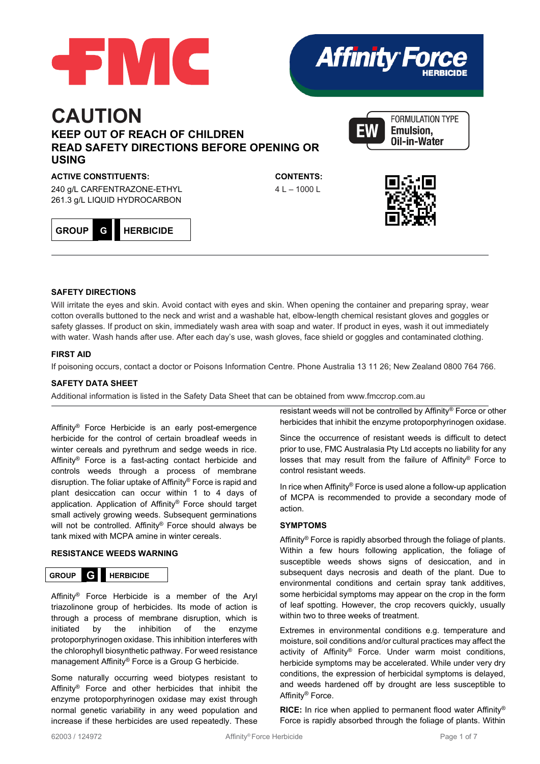



# **CAUTION KEEP OUT OF REACH OF CHILDREN READ SAFETY DIRECTIONS BEFORE OPENING OR USING**

## **ACTIVE CONSTITUENTS:**

240 g/L CARFENTRAZONE-ETHYL 261.3 g/L LIQUID HYDROCARBON



**CONTENTS:**   $4 L - 1000 L$ 





#### **SAFETY DIRECTIONS**

Will irritate the eyes and skin. Avoid contact with eyes and skin. When opening the container and preparing spray, wear cotton overalls buttoned to the neck and wrist and a washable hat, elbow-length chemical resistant gloves and goggles or safety glasses. If product on skin, immediately wash area with soap and water. If product in eyes, wash it out immediately with water. Wash hands after use. After each day's use, wash gloves, face shield or goggles and contaminated clothing.

## **FIRST AID**

If poisoning occurs, contact a doctor or Poisons Information Centre. Phone Australia 13 11 26; New Zealand 0800 764 766.

## **SAFETY DATA SHEET**

Additional information is listed in the Safety Data Sheet that can be obtained fro[m www.fmccrop.com.au](http://www.fmccrop.com.au/)

Affinity® Force Herbicide is an early post-emergence herbicide for the control of certain broadleaf weeds in winter cereals and pyrethrum and sedge weeds in rice. Affinity® Force is a fast-acting contact herbicide and controls weeds through a process of membrane disruption. The foliar uptake of Affinity® Force is rapid and plant desiccation can occur within 1 to 4 days of application. Application of Affinity® Force should target small actively growing weeds. Subsequent germinations will not be controlled. Affinity® Force should always be tank mixed with MCPA amine in winter cereals.

#### **RESISTANCE WEEDS WARNING**



Affinity® Force Herbicide is a member of the Aryl triazolinone group of herbicides. Its mode of action is through a process of membrane disruption, which is initiated by the inhibition of the enzyme protoporphyrinogen oxidase. This inhibition interferes with the chlorophyll biosynthetic pathway. For weed resistance management Affinity® Force is a Group G herbicide.

Some naturally occurring weed biotypes resistant to Affinity® Force and other herbicides that inhibit the enzyme protoporphyrinogen oxidase may exist through normal genetic variability in any weed population and increase if these herbicides are used repeatedly. These

resistant weeds will not be controlled by Affinity® Force or other herbicides that inhibit the enzyme protoporphyrinogen oxidase.

Since the occurrence of resistant weeds is difficult to detect prior to use, FMC Australasia Pty Ltd accepts no liability for any losses that may result from the failure of Affinity® Force to control resistant weeds.

In rice when Affinity® Force is used alone a follow-up application of MCPA is recommended to provide a secondary mode of action.

#### **SYMPTOMS**

Affinity® Force is rapidly absorbed through the foliage of plants. Within a few hours following application, the foliage of susceptible weeds shows signs of desiccation, and in subsequent days necrosis and death of the plant. Due to environmental conditions and certain spray tank additives, some herbicidal symptoms may appear on the crop in the form of leaf spotting. However, the crop recovers quickly, usually within two to three weeks of treatment.

Extremes in environmental conditions e.g. temperature and moisture, soil conditions and/or cultural practices may affect the activity of Affinity® Force. Under warm moist conditions, herbicide symptoms may be accelerated. While under very dry conditions, the expression of herbicidal symptoms is delayed, and weeds hardened off by drought are less susceptible to Affinity® Force.

**RICE:** In rice when applied to permanent flood water Affinity® Force is rapidly absorbed through the foliage of plants. Within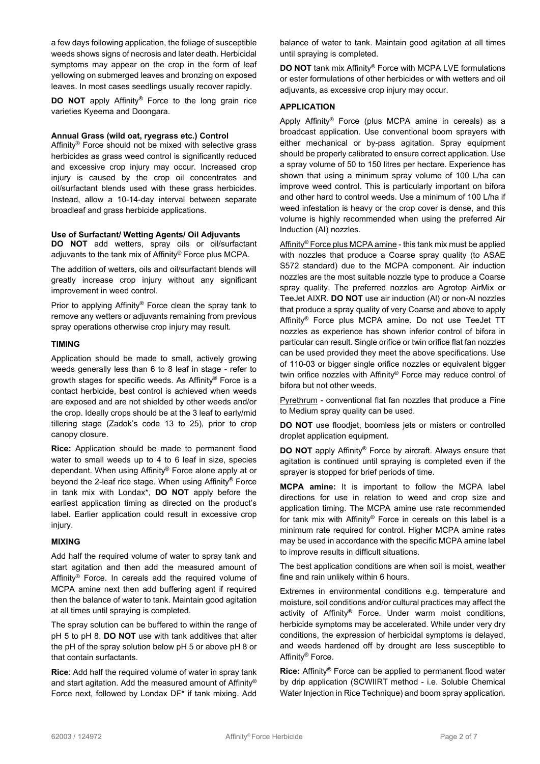a few days following application, the foliage of susceptible weeds shows signs of necrosis and later death. Herbicidal symptoms may appear on the crop in the form of leaf yellowing on submerged leaves and bronzing on exposed leaves. In most cases seedlings usually recover rapidly.

**DO NOT** apply Affinity® Force to the long grain rice varieties Kyeema and Doongara.

#### **Annual Grass (wild oat, ryegrass etc.) Control**

Affinity® Force should not be mixed with selective grass herbicides as grass weed control is significantly reduced and excessive crop injury may occur. Increased crop injury is caused by the crop oil concentrates and oil/surfactant blends used with these grass herbicides. Instead, allow a 10-14-day interval between separate broadleaf and grass herbicide applications.

#### **Use of Surfactant/ Wetting Agents/ Oil Adjuvants**

**DO NOT** add wetters, spray oils or oil/surfactant adjuvants to the tank mix of Affinity® Force plus MCPA.

The addition of wetters, oils and oil/surfactant blends will greatly increase crop injury without any significant improvement in weed control.

Prior to applying Affinity® Force clean the spray tank to remove any wetters or adjuvants remaining from previous spray operations otherwise crop injury may result.

#### **TIMING**

Application should be made to small, actively growing weeds generally less than 6 to 8 leaf in stage - refer to growth stages for specific weeds. As Affinity® Force is a contact herbicide, best control is achieved when weeds are exposed and are not shielded by other weeds and/or the crop. Ideally crops should be at the 3 leaf to early/mid tillering stage (Zadok's code 13 to 25), prior to crop canopy closure.

**Rice:** Application should be made to permanent flood water to small weeds up to 4 to 6 leaf in size, species dependant. When using Affinity® Force alone apply at or beyond the 2-leaf rice stage. When using Affinity® Force in tank mix with Londax\*, **DO NOT** apply before the earliest application timing as directed on the product's label. Earlier application could result in excessive crop injury.

#### **MIXING**

Add half the required volume of water to spray tank and start agitation and then add the measured amount of Affinity® Force. In cereals add the required volume of MCPA amine next then add buffering agent if required then the balance of water to tank. Maintain good agitation at all times until spraying is completed.

The spray solution can be buffered to within the range of pH 5 to pH 8. **DO NOT** use with tank additives that alter the pH of the spray solution below pH 5 or above pH 8 or that contain surfactants.

**Rice**: Add half the required volume of water in spray tank and start agitation. Add the measured amount of Affinity® Force next, followed by Londax DF\* if tank mixing. Add

balance of water to tank. Maintain good agitation at all times until spraying is completed.

**DO NOT** tank mix Affinity® Force with MCPA LVE formulations or ester formulations of other herbicides or with wetters and oil adjuvants, as excessive crop injury may occur.

### **APPLICATION**

Apply Affinity® Force (plus MCPA amine in cereals) as a broadcast application. Use conventional boom sprayers with either mechanical or by-pass agitation. Spray equipment should be properly calibrated to ensure correct application. Use a spray volume of 50 to 150 litres per hectare. Experience has shown that using a minimum spray volume of 100 L/ha can improve weed control. This is particularly important on bifora and other hard to control weeds. Use a minimum of 100 L/ha if weed infestation is heavy or the crop cover is dense, and this volume is highly recommended when using the preferred Air Induction (AI) nozzles.

Affinity® Force plus MCPA amine - this tank mix must be applied with nozzles that produce a Coarse spray quality (to ASAE S572 standard) due to the MCPA component. Air induction nozzles are the most suitable nozzle type to produce a Coarse spray quality. The preferred nozzles are Agrotop AirMix or TeeJet AIXR. **DO NOT** use air induction (Al) or non-Al nozzles that produce a spray quality of very Coarse and above to apply Affinity® Force plus MCPA amine. Do not use TeeJet TT nozzles as experience has shown inferior control of bifora in particular can result. Single orifice or twin orifice flat fan nozzles can be used provided they meet the above specifications. Use of 110-03 or bigger single orifice nozzles or equivalent bigger twin orifice nozzles with Affinity® Force may reduce control of bifora but not other weeds.

Pyrethrum - conventional flat fan nozzles that produce a Fine to Medium spray quality can be used.

**DO NOT** use floodjet, boomless jets or misters or controlled droplet application equipment.

**DO NOT** apply Affinity® Force by aircraft. Always ensure that agitation is continued until spraying is completed even if the sprayer is stopped for brief periods of time.

**MCPA amine:** It is important to follow the MCPA label directions for use in relation to weed and crop size and application timing. The MCPA amine use rate recommended for tank mix with Affinity® Force in cereals on this label is a minimum rate required for control. Higher MCPA amine rates may be used in accordance with the specific MCPA amine label to improve results in difficult situations.

The best application conditions are when soil is moist, weather fine and rain unlikely within 6 hours.

Extremes in environmental conditions e.g. temperature and moisture, soil conditions and/or cultural practices may affect the activity of Affinity® Force. Under warm moist conditions, herbicide symptoms may be accelerated. While under very dry conditions, the expression of herbicidal symptoms is delayed, and weeds hardened off by drought are less susceptible to Affinity® Force.

**Rice:** Affinity® Force can be applied to permanent flood water by drip application (SCWIIRT method - i.e. Soluble Chemical Water Injection in Rice Technique) and boom spray application.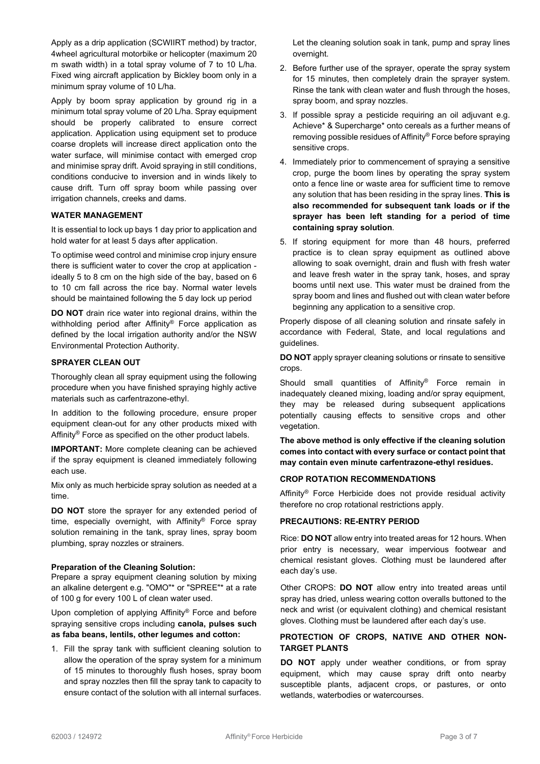Apply as a drip application (SCWIIRT method) by tractor, 4wheel agricultural motorbike or helicopter (maximum 20 m swath width) in a total spray volume of 7 to 10 L/ha. Fixed wing aircraft application by Bickley boom only in a minimum spray volume of 10 L/ha.

Apply by boom spray application by ground rig in a minimum total spray volume of 20 L/ha. Spray equipment should be properly calibrated to ensure correct application. Application using equipment set to produce coarse droplets will increase direct application onto the water surface, will minimise contact with emerged crop and minimise spray drift. Avoid spraying in still conditions, conditions conducive to inversion and in winds likely to cause drift. Turn off spray boom while passing over irrigation channels, creeks and dams.

## **WATER MANAGEMENT**

It is essential to lock up bays 1 day prior to application and hold water for at least 5 days after application.

To optimise weed control and minimise crop injury ensure there is sufficient water to cover the crop at application ideally 5 to 8 cm on the high side of the bay, based on 6 to 10 cm fall across the rice bay. Normal water levels should be maintained following the 5 day lock up period

**DO NOT** drain rice water into regional drains, within the withholding period after Affinity® Force application as defined by the local irrigation authority and/or the NSW Environmental Protection Authority.

## **SPRAYER CLEAN OUT**

Thoroughly clean all spray equipment using the following procedure when you have finished spraying highly active materials such as carfentrazone-ethyl.

In addition to the following procedure, ensure proper equipment clean-out for any other products mixed with Affinity® Force as specified on the other product labels.

**IMPORTANT:** More complete cleaning can be achieved if the spray equipment is cleaned immediately following each use.

Mix only as much herbicide spray solution as needed at a time.

**DO NOT** store the sprayer for any extended period of time, especially overnight, with Affinity® Force spray solution remaining in the tank, spray lines, spray boom plumbing, spray nozzles or strainers.

#### **Preparation of the Cleaning Solution:**

Prepare a spray equipment cleaning solution by mixing an alkaline detergent e.g. "OMO"\* or "SPREE"\* at a rate of 100 g for every 100 L of clean water used.

Upon completion of applying Affinity® Force and before spraying sensitive crops including **canola, pulses such as faba beans, lentils, other legumes and cotton:**

1. Fill the spray tank with sufficient cleaning solution to allow the operation of the spray system for a minimum of 15 minutes to thoroughly flush hoses, spray boom and spray nozzles then fill the spray tank to capacity to ensure contact of the solution with all internal surfaces. Let the cleaning solution soak in tank, pump and spray lines overnight.

- 2. Before further use of the sprayer, operate the spray system for 15 minutes, then completely drain the sprayer system. Rinse the tank with clean water and flush through the hoses, spray boom, and spray nozzles.
- 3. If possible spray a pesticide requiring an oil adjuvant e.g. Achieve\* & Supercharge\* onto cereals as a further means of removing possible residues of Affinity® Force before spraying sensitive crops.
- 4. Immediately prior to commencement of spraying a sensitive crop, purge the boom lines by operating the spray system onto a fence line or waste area for sufficient time to remove any solution that has been residing in the spray lines. **This is also recommended for subsequent tank loads or if the sprayer has been left standing for a period of time containing spray solution**.
- 5. If storing equipment for more than 48 hours, preferred practice is to clean spray equipment as outlined above allowing to soak overnight, drain and flush with fresh water and leave fresh water in the spray tank, hoses, and spray booms until next use. This water must be drained from the spray boom and lines and flushed out with clean water before beginning any application to a sensitive crop.

Properly dispose of all cleaning solution and rinsate safely in accordance with Federal, State, and local regulations and guidelines.

**DO NOT** apply sprayer cleaning solutions or rinsate to sensitive crops.

Should small quantities of Affinity® Force remain in inadequately cleaned mixing, loading and/or spray equipment, they may be released during subsequent applications potentially causing effects to sensitive crops and other vegetation.

**The above method is only effective if the cleaning solution comes into contact with every surface or contact point that may contain even minute carfentrazone-ethyl residues.**

## **CROP ROTATION RECOMMENDATIONS**

Affinity® Force Herbicide does not provide residual activity therefore no crop rotational restrictions apply.

#### **PRECAUTIONS: RE-ENTRY PERIOD**

Rice: **DO NOT** allow entry into treated areas for 12 hours. When prior entry is necessary, wear impervious footwear and chemical resistant gloves. Clothing must be laundered after each day's use.

Other CROPS: **DO NOT** allow entry into treated areas until spray has dried, unless wearing cotton overalls buttoned to the neck and wrist (or equivalent clothing) and chemical resistant gloves. Clothing must be laundered after each day's use.

## **PROTECTION OF CROPS, NATIVE AND OTHER NON-TARGET PLANTS**

**DO NOT** apply under weather conditions, or from spray equipment, which may cause spray drift onto nearby susceptible plants, adjacent crops, or pastures, or onto wetlands, waterbodies or watercourses.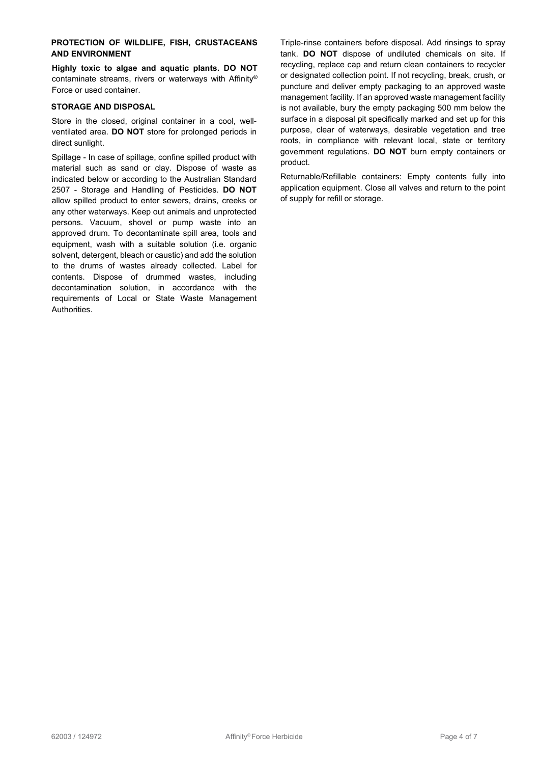## **PROTECTION OF WILDLIFE, FISH, CRUSTACEANS AND ENVIRONMENT**

**Highly toxic to algae and aquatic plants. DO NOT** contaminate streams, rivers or waterways with Affinity® Force or used container.

### **STORAGE AND DISPOSAL**

Store in the closed, original container in a cool, wellventilated area. **DO NOT** store for prolonged periods in direct sunlight.

Spillage - In case of spillage, confine spilled product with material such as sand or clay. Dispose of waste as indicated below or according to the Australian Standard 2507 - Storage and Handling of Pesticides. **DO NOT** allow spilled product to enter sewers, drains, creeks or any other waterways. Keep out animals and unprotected persons. Vacuum, shovel or pump waste into an approved drum. To decontaminate spill area, tools and equipment, wash with a suitable solution (i.e. organic solvent, detergent, bleach or caustic) and add the solution to the drums of wastes already collected. Label for contents. Dispose of drummed wastes, including decontamination solution, in accordance with the requirements of Local or State Waste Management Authorities.

Triple-rinse containers before disposal. Add rinsings to spray tank. **DO NOT** dispose of undiluted chemicals on site. If recycling, replace cap and return clean containers to recycler or designated collection point. If not recycling, break, crush, or puncture and deliver empty packaging to an approved waste management facility. If an approved waste management facility is not available, bury the empty packaging 500 mm below the surface in a disposal pit specifically marked and set up for this purpose, clear of waterways, desirable vegetation and tree roots, in compliance with relevant local, state or territory government regulations. **DO NOT** burn empty containers or product.

Returnable/Refillable containers: Empty contents fully into application equipment. Close all valves and return to the point of supply for refill or storage.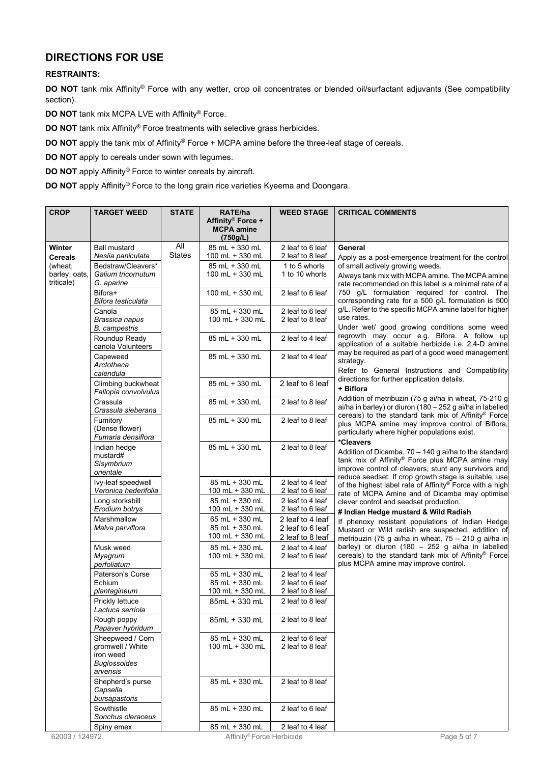## **DIRECTIONS FOR USE**

## **RESTRAINTS:**

**DO NOT** tank mix Affinity® Force with any wetter, crop oil concentrates or blended oil/surfactant adjuvants (See compatibility section).

**DO NOT** tank mix MCPA LVE with Affinity® Force.

**DO NOT** tank mix Affinity® Force treatments with selective grass herbicides.

**DO NOT** apply the tank mix of Affinity® Force + MCPA amine before the three-leaf stage of cereals.

**DO NOT** apply to cereals under sown with legumes.

**DO NOT** apply Affinity® Force to winter cereals by aircraft.

**DO NOT** apply Affinity® Force to the long grain rice varieties Kyeema and Doongara.

| <b>CROP</b>                                                        | <b>TARGET WEED</b>                                                                   | <b>STATE</b>         | RATE/ha                                             | <b>WEED STAGE</b>                                        | <b>CRITICAL COMMENTS</b>                                                                                                                                                                                                                                                                                                                                                                                                                                                                                                                                                                                                                                                                                                                                                                                                                                                                                               |
|--------------------------------------------------------------------|--------------------------------------------------------------------------------------|----------------------|-----------------------------------------------------|----------------------------------------------------------|------------------------------------------------------------------------------------------------------------------------------------------------------------------------------------------------------------------------------------------------------------------------------------------------------------------------------------------------------------------------------------------------------------------------------------------------------------------------------------------------------------------------------------------------------------------------------------------------------------------------------------------------------------------------------------------------------------------------------------------------------------------------------------------------------------------------------------------------------------------------------------------------------------------------|
|                                                                    |                                                                                      |                      | Affinity® Force +<br><b>MCPA</b> amine<br>(750g/L)  |                                                          |                                                                                                                                                                                                                                                                                                                                                                                                                                                                                                                                                                                                                                                                                                                                                                                                                                                                                                                        |
| Winter<br><b>Cereals</b><br>(wheat,<br>barley, oats,<br>triticale) | <b>Ball mustard</b><br>Neslia paniculata                                             | All<br><b>States</b> | 85 mL + 330 mL<br>100 mL + 330 mL                   | 2 leaf to 6 leaf<br>2 leaf to 8 leaf                     | General<br>Apply as a post-emergence treatment for the control<br>of small actively growing weeds.<br>Always tank mix with MCPA amine. The MCPA amine<br>rate recommended on this label is a minimal rate of a<br>750 g/L formulation required for control. The<br>corresponding rate for a 500 g/L formulation is 500<br>g/L. Refer to the specific MCPA amine label for higher<br>use rates.<br>Under wet/ good growing conditions some weed<br>regrowth may occur e.g. Bifora. A follow up<br>application of a suitable herbicide i.e. 2,4-D amine<br>may be required as part of a good weed management<br>strategy.<br>Refer to General Instructions and Compatibility                                                                                                                                                                                                                                             |
|                                                                    | Bedstraw/Cleavers*<br>Galium tricornutum<br>G. aparine                               |                      | 85 mL + 330 mL<br>100 mL + 330 mL                   | 1 to 5 whorls<br>1 to 10 whorls                          |                                                                                                                                                                                                                                                                                                                                                                                                                                                                                                                                                                                                                                                                                                                                                                                                                                                                                                                        |
|                                                                    | Bifora+<br>Bifora testiculata                                                        |                      | 100 mL + 330 mL                                     | 2 leaf to 6 leaf                                         |                                                                                                                                                                                                                                                                                                                                                                                                                                                                                                                                                                                                                                                                                                                                                                                                                                                                                                                        |
|                                                                    | Canola<br>Brassica napus<br><b>B.</b> campestris                                     |                      | 85 mL + 330 mL<br>100 mL + 330 mL                   | 2 leaf to 6 leaf<br>2 leaf to 8 leaf                     |                                                                                                                                                                                                                                                                                                                                                                                                                                                                                                                                                                                                                                                                                                                                                                                                                                                                                                                        |
|                                                                    | Roundup Ready<br>canola Volunteers                                                   |                      | 85 mL + 330 mL                                      | 2 leaf to 4 leaf                                         |                                                                                                                                                                                                                                                                                                                                                                                                                                                                                                                                                                                                                                                                                                                                                                                                                                                                                                                        |
|                                                                    | Capeweed<br>Arctotheca<br>calendula                                                  |                      | 85 mL + 330 mL                                      | 2 leaf to 4 leaf                                         |                                                                                                                                                                                                                                                                                                                                                                                                                                                                                                                                                                                                                                                                                                                                                                                                                                                                                                                        |
|                                                                    | Climbing buckwheat<br>Fallopia convolvulus                                           |                      | 85 mL + 330 mL                                      | 2 leaf to 6 leaf                                         | directions for further application details.<br>+ Biflora                                                                                                                                                                                                                                                                                                                                                                                                                                                                                                                                                                                                                                                                                                                                                                                                                                                               |
|                                                                    | Crassula<br>Crassula sieberana                                                       |                      | 85 mL + 330 mL                                      | 2 leaf to 8 leaf                                         | Addition of metribuzin (75 g ai/ha in wheat, 75-210 g<br>ai/ha in barley) or diuron (180 - 252 g ai/ha in labelled                                                                                                                                                                                                                                                                                                                                                                                                                                                                                                                                                                                                                                                                                                                                                                                                     |
|                                                                    | Fumitory<br>(Dense flower)<br>Fumaria densiflora                                     |                      | 85 mL + 330 mL                                      | 2 leaf to 8 leaf                                         | cereals) to the standard tank mix of Affinity® Force<br>plus MCPA amine may improve control of Biflora,<br>particularly where higher populations exist.<br>*Cleavers<br>Addition of Dicamba, 70 - 140 g ai/ha to the standard<br>tank mix of Affinity® Force plus MCPA amine may<br>improve control of cleavers, stunt any survivors and<br>reduce seedset. If crop growth stage is suitable, use<br>of the highest label rate of Affinity® Force with a high<br>rate of MCPA Amine and of Dicamba may optimise<br>clever control and seedset production.<br># Indian Hedge mustard & Wild Radish<br>If phenoxy resistant populations of Indian Hedge<br>Mustard or Wild radish are suspected, addition of<br>metribuzin (75 g ai/ha in wheat, 75 - 210 g ai/ha in<br>barley) or diuron (180 - 252 g ai/ha in labelled<br>cereals) to the standard tank mix of Affinity® Force<br>plus MCPA amine may improve control. |
|                                                                    | Indian hedge<br>mustard#<br>Sisymbrium<br>orientale                                  |                      | 85 mL + 330 mL                                      | 2 leaf to 8 leaf                                         |                                                                                                                                                                                                                                                                                                                                                                                                                                                                                                                                                                                                                                                                                                                                                                                                                                                                                                                        |
|                                                                    | Ivy-leaf speedwell<br>Veronica hederifolia                                           |                      | 85 mL + 330 mL<br>100 mL + 330 mL                   | 2 leaf to 4 leaf<br>2 leaf to 6 leaf                     |                                                                                                                                                                                                                                                                                                                                                                                                                                                                                                                                                                                                                                                                                                                                                                                                                                                                                                                        |
|                                                                    | Long storksbill<br>Erodium botrys                                                    |                      | 85 mL + 330 mL<br>100 mL + 330 mL                   | 2 leaf to 4 leaf<br>2 leaf to 6 leaf                     |                                                                                                                                                                                                                                                                                                                                                                                                                                                                                                                                                                                                                                                                                                                                                                                                                                                                                                                        |
|                                                                    | Marshmallow<br>Malva parviflora                                                      |                      | 65 mL + 330 mL<br>85 mL + 330 mL<br>100 mL + 330 mL | 2 leaf to 4 leaf<br>2 leaf to 6 leaf<br>2 leaf to 8 leaf |                                                                                                                                                                                                                                                                                                                                                                                                                                                                                                                                                                                                                                                                                                                                                                                                                                                                                                                        |
|                                                                    | Musk weed<br>Myagrum<br>perfoliatum                                                  |                      | 85 mL + 330 mL<br>100 mL + 330 mL                   | 2 leaf to 4 leaf<br>2 leaf to 6 leaf                     |                                                                                                                                                                                                                                                                                                                                                                                                                                                                                                                                                                                                                                                                                                                                                                                                                                                                                                                        |
|                                                                    | Paterson's Curse<br>Echium<br>plantagineum                                           |                      | 65 mL + 330 mL<br>85 mL + 330 mL<br>100 mL + 330 mL | 2 leaf to 4 leaf<br>2 leaf to 6 leaf<br>2 leaf to 8 leaf |                                                                                                                                                                                                                                                                                                                                                                                                                                                                                                                                                                                                                                                                                                                                                                                                                                                                                                                        |
|                                                                    | Prickly lettuce<br>Lactuca serriola                                                  |                      | 85mL + 330 mL                                       | 2 leaf to 8 leaf                                         |                                                                                                                                                                                                                                                                                                                                                                                                                                                                                                                                                                                                                                                                                                                                                                                                                                                                                                                        |
|                                                                    | Rough poppy<br>Papaver hybridum                                                      |                      | 85mL + 330 mL                                       | 2 leaf to 8 leaf                                         |                                                                                                                                                                                                                                                                                                                                                                                                                                                                                                                                                                                                                                                                                                                                                                                                                                                                                                                        |
|                                                                    | Sheepweed / Corn<br>gromwell / White<br>iron weed<br><b>Buglossoides</b><br>arvensis |                      | 85 mL + 330 mL<br>100 mL + 330 mL                   | 2 leaf to 6 leaf<br>2 leaf to 8 leaf                     |                                                                                                                                                                                                                                                                                                                                                                                                                                                                                                                                                                                                                                                                                                                                                                                                                                                                                                                        |
|                                                                    | Shepherd's purse<br>Capsella<br>bursapastoris                                        |                      | 85 mL + 330 mL                                      | 2 leaf to 8 leaf                                         |                                                                                                                                                                                                                                                                                                                                                                                                                                                                                                                                                                                                                                                                                                                                                                                                                                                                                                                        |
|                                                                    | Sowthistle<br>Sonchus oleraceus                                                      |                      | 85 mL + 330 mL                                      | 2 leaf to 6 leaf                                         |                                                                                                                                                                                                                                                                                                                                                                                                                                                                                                                                                                                                                                                                                                                                                                                                                                                                                                                        |
|                                                                    | Spiny emex                                                                           |                      | 85 mL + 330 mL                                      | 2 leaf to 4 leaf                                         |                                                                                                                                                                                                                                                                                                                                                                                                                                                                                                                                                                                                                                                                                                                                                                                                                                                                                                                        |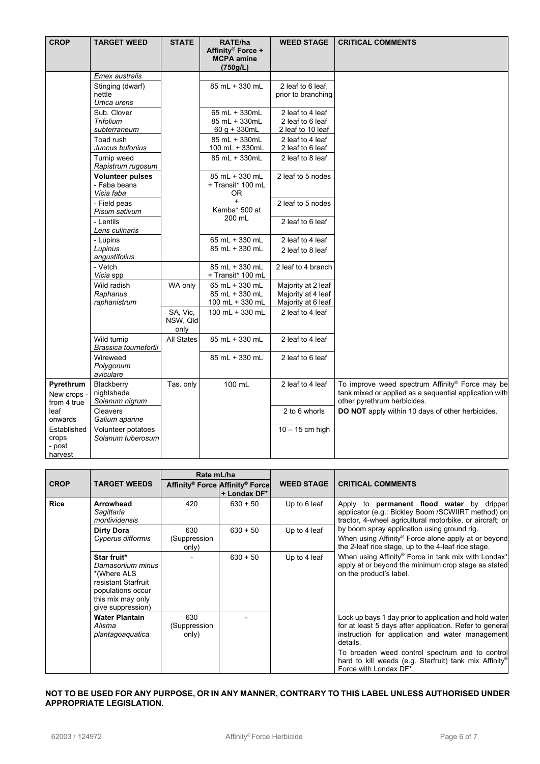| <b>CROP</b>                                                                                             | <b>TARGET WEED</b>                                                           | <b>STATE</b>                 | RATE/ha<br>Affinity® Force +<br><b>MCPA amine</b><br>(750g/L)   | <b>WEED STAGE</b>                                                             | <b>CRITICAL COMMENTS</b>                                                                                                                 |
|---------------------------------------------------------------------------------------------------------|------------------------------------------------------------------------------|------------------------------|-----------------------------------------------------------------|-------------------------------------------------------------------------------|------------------------------------------------------------------------------------------------------------------------------------------|
|                                                                                                         | <b>Emex</b> australis<br>Stinging (dwarf)<br>nettle                          |                              | 85 mL + 330 mL                                                  | 2 leaf to 6 leaf.<br>prior to branching                                       |                                                                                                                                          |
|                                                                                                         | Urtica urens<br>Sub. Clover<br><b>Trifolium</b><br>subterraneum<br>Toad rush |                              | 65 mL + 330mL<br>85 mL + 330mL<br>60 g + 330mL<br>85 mL + 330mL | 2 leaf to 4 leaf<br>2 leaf to 6 leaf<br>2 leaf to 10 leaf<br>2 leaf to 4 leaf |                                                                                                                                          |
|                                                                                                         | Juncus bufonius<br>Turnip weed<br>Rapistrum rugosum                          |                              | 100 mL + 330mL<br>85 mL + 330mL                                 | 2 leaf to 6 leaf<br>2 leaf to 8 leaf                                          |                                                                                                                                          |
|                                                                                                         | <b>Volunteer pulses</b><br>- Faba beans<br>Vicia faba                        |                              | 85 mL + 330 mL<br>+ Transit* 100 mL<br>0R                       | 2 leaf to 5 nodes                                                             |                                                                                                                                          |
|                                                                                                         | - Field peas<br>Pisum sativum                                                |                              | $+$<br>Kamba* 500 at<br>200 mL                                  | 2 leaf to 5 nodes                                                             |                                                                                                                                          |
|                                                                                                         | - Lentils<br>Lens culinaris                                                  |                              |                                                                 | 2 leaf to 6 leaf                                                              |                                                                                                                                          |
|                                                                                                         | - Lupins<br>Lupinus<br>angustifolius                                         |                              | 65 mL + 330 mL<br>85 mL + 330 mL                                | 2 leaf to 4 leaf<br>2 leaf to 8 leaf                                          |                                                                                                                                          |
|                                                                                                         | - Vetch<br>Vicia spp                                                         |                              | 85 mL + 330 mL<br>+ Transit* 100 mL                             | 2 leaf to 4 branch                                                            |                                                                                                                                          |
|                                                                                                         | Wild radish<br>Raphanus<br>raphanistrum                                      | WA only                      | 65 mL + 330 mL<br>85 mL + 330 mL<br>100 mL + 330 mL             | Majority at 2 leaf<br>Majority at 4 leaf<br>Majority at 6 leaf                |                                                                                                                                          |
|                                                                                                         |                                                                              | SA, Vic,<br>NSW, Qld<br>only | 100 mL + 330 mL                                                 | 2 leaf to 4 leaf                                                              |                                                                                                                                          |
|                                                                                                         | Wild turnip<br>Brassica tournefortii                                         | All States                   | 85 mL + 330 mL                                                  | 2 leaf to 4 leaf                                                              |                                                                                                                                          |
|                                                                                                         | Wireweed<br>Polygonum<br>aviculare                                           |                              | 85 mL + 330 mL                                                  | 2 leaf to 6 leaf                                                              |                                                                                                                                          |
| Pyrethrum<br>New crops -<br>from 4 true<br>leaf<br>onwards<br>Established<br>crops<br>- post<br>harvest | Blackberry<br>nightshade<br>Solanum nigrum                                   | Tas. only                    | 100 mL                                                          | 2 leaf to 4 leaf                                                              | To improve weed spectrum Affinity® Force may be<br>tank mixed or applied as a sequential application with<br>other pyrethrum herbicides. |
|                                                                                                         | Cleavers<br>Galium aparine                                                   |                              |                                                                 | 2 to 6 whorls                                                                 | DO NOT apply within 10 days of other herbicides.                                                                                         |
|                                                                                                         | Volunteer potatoes<br>Solanum tuberosum                                      |                              |                                                                 | $10 - 15$ cm high                                                             |                                                                                                                                          |

|             |                                                                                                                                      | Rate mL/ha                   |                                                 |                   |                                                                                                                                                                                                                                                                                                                                 |
|-------------|--------------------------------------------------------------------------------------------------------------------------------------|------------------------------|-------------------------------------------------|-------------------|---------------------------------------------------------------------------------------------------------------------------------------------------------------------------------------------------------------------------------------------------------------------------------------------------------------------------------|
| <b>CROP</b> | <b>TARGET WEEDS</b>                                                                                                                  |                              | Affinity® Force Affinity® Force<br>+ Londax DF* | <b>WEED STAGE</b> | <b>CRITICAL COMMENTS</b>                                                                                                                                                                                                                                                                                                        |
| <b>Rice</b> | Arrowhead<br>Sagittaria<br>montividensis                                                                                             | 420                          | $630 + 50$                                      | Up to 6 leaf      | Apply to <b>permanent flood water</b> by dripper<br>applicator (e.g.: Bickley Boom /SCWIIRT method) on<br>tractor, 4-wheel agricultural motorbike, or aircraft; or<br>by boom spray application using ground rig.<br>When using Affinity® Force alone apply at or beyond<br>the 2-leaf rice stage, up to the 4-leaf rice stage. |
|             | <b>Dirty Dora</b><br>Cyperus difformis                                                                                               | 630<br>(Suppression<br>only) | $630 + 50$                                      | Up to 4 leaf      |                                                                                                                                                                                                                                                                                                                                 |
|             | Star fruit*<br>Damasonium minus<br>*(Where ALS<br>resistant Starfruit<br>populations occur<br>this mix may only<br>give suppression) |                              | $630 + 50$                                      | Up to 4 leaf      | When using Affinity® Force in tank mix with Londax*<br>apply at or beyond the minimum crop stage as stated<br>on the product's label.                                                                                                                                                                                           |
|             | <b>Water Plantain</b><br>Alisma<br>plantagoaquatica                                                                                  | 630<br>(Suppression<br>only) |                                                 |                   | Lock up bays 1 day prior to application and hold water<br>for at least 5 days after application. Refer to general<br>instruction for application and water management<br>details.                                                                                                                                               |
|             |                                                                                                                                      |                              |                                                 |                   | To broaden weed control spectrum and to control<br>hard to kill weeds (e.g. Starfruit) tank mix Affinity <sup>®</sup><br>Force with Londax DF*.                                                                                                                                                                                 |

#### **NOT TO BE USED FOR ANY PURPOSE, OR IN ANY MANNER, CONTRARY TO THIS LABEL UNLESS AUTHORISED UNDER APPROPRIATE LEGISLATION.**